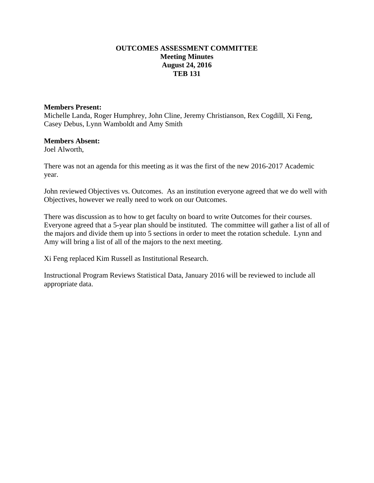### **OUTCOMES ASSESSMENT COMMITTEE Meeting Minutes August 24, 2016 TEB 131**

#### **Members Present:**

Michelle Landa, Roger Humphrey, John Cline, Jeremy Christianson, Rex Cogdill, Xi Feng, Casey Debus, Lynn Wamboldt and Amy Smith

#### **Members Absent:**

Joel Alworth,

There was not an agenda for this meeting as it was the first of the new 2016-2017 Academic year.

John reviewed Objectives vs. Outcomes. As an institution everyone agreed that we do well with Objectives, however we really need to work on our Outcomes.

There was discussion as to how to get faculty on board to write Outcomes for their courses. Everyone agreed that a 5-year plan should be instituted. The committee will gather a list of all of the majors and divide them up into 5 sections in order to meet the rotation schedule. Lynn and Amy will bring a list of all of the majors to the next meeting.

Xi Feng replaced Kim Russell as Institutional Research.

Instructional Program Reviews Statistical Data, January 2016 will be reviewed to include all appropriate data.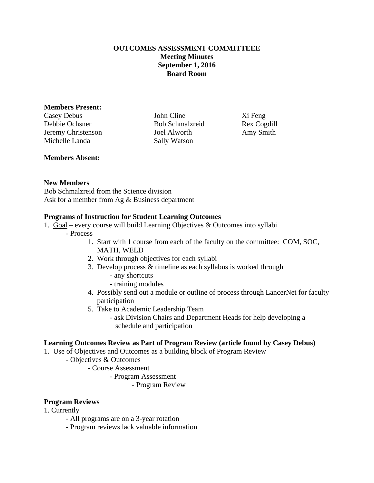## **OUTCOMES ASSESSMENT COMMITTEEE Meeting Minutes September 1, 2016 Board Room**

#### **Members Present:**

Casey Debus John Cline Xi Feng Debbie Ochsner Bob Schmalzreid Rex Cogdill Jeremy Christenson Joel Alworth Amy Smith Michelle Landa Sally Watson

## **Members Absent:**

## **New Members**

Bob Schmalzreid from the Science division Ask for a member from Ag & Business department

## **Programs of Instruction for Student Learning Outcomes**

- 1. Goal every course will build Learning Objectives & Outcomes into syllabi
	- Process
		- 1. Start with 1 course from each of the faculty on the committee: COM, SOC, MATH, WELD
		- 2. Work through objectives for each syllabi
		- 3. Develop process & timeline as each syllabus is worked through
			- any shortcuts
			- training modules
		- 4. Possibly send out a module or outline of process through LancerNet for faculty participation
		- 5. Take to Academic Leadership Team
			- ask Division Chairs and Department Heads for help developing a schedule and participation

## **Learning Outcomes Review as Part of Program Review (article found by Casey Debus)**

- 1. Use of Objectives and Outcomes as a building block of Program Review
	- Objectives & Outcomes
		- Course Assessment
			- Program Assessment
				- Program Review

## **Program Reviews**

## 1. Currently

- All programs are on a 3-year rotation
- Program reviews lack valuable information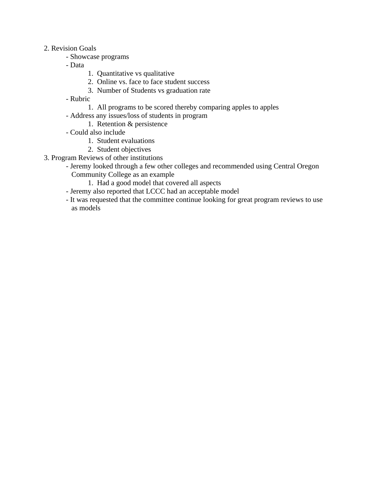#### 2. Revision Goals

- Showcase programs
- Data
- 1. Quantitative vs qualitative
- 2. Online vs. face to face student success
- 3. Number of Students vs graduation rate
- Rubric
	- 1. All programs to be scored thereby comparing apples to apples
- Address any issues/loss of students in program
	- 1. Retention & persistence
- Could also include
	- 1. Student evaluations
	- 2. Student objectives
- 3. Program Reviews of other institutions
	- Jeremy looked through a few other colleges and recommended using Central Oregon Community College as an example
		- 1. Had a good model that covered all aspects
	- Jeremy also reported that LCCC had an acceptable model
	- It was requested that the committee continue looking for great program reviews to use as models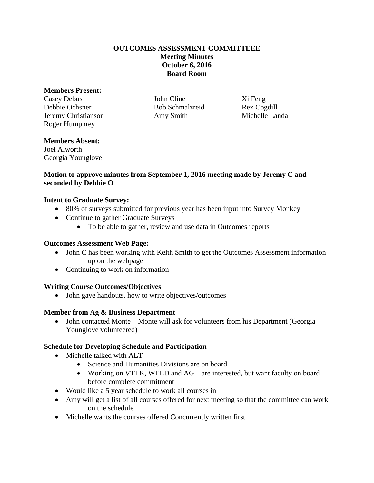## **OUTCOMES ASSESSMENT COMMITTEEE Meeting Minutes October 6, 2016 Board Room**

#### **Members Present:**

Casey Debus John Cline Xi Feng Debbie Ochsner Bob Schmalzreid Rex Cogdill Jeremy Christianson Amy Smith Michelle Landa Roger Humphrey

# **Members Absent:**

Joel Alworth Georgia Younglove

## **Motion to approve minutes from September 1, 2016 meeting made by Jeremy C and seconded by Debbie O**

## **Intent to Graduate Survey:**

- 80% of surveys submitted for previous year has been input into Survey Monkey
- Continue to gather Graduate Surveys
	- To be able to gather, review and use data in Outcomes reports

## **Outcomes Assessment Web Page:**

- John C has been working with Keith Smith to get the Outcomes Assessment information up on the webpage
- Continuing to work on information

# **Writing Course Outcomes/Objectives**

• John gave handouts, how to write objectives/outcomes

# **Member from Ag & Business Department**

• John contacted Monte – Monte will ask for volunteers from his Department (Georgia Younglove volunteered)

# **Schedule for Developing Schedule and Participation**

- Michelle talked with ALT
	- Science and Humanities Divisions are on board
	- Working on VTTK, WELD and AG are interested, but want faculty on board before complete commitment
- Would like a 5 year schedule to work all courses in
- Amy will get a list of all courses offered for next meeting so that the committee can work on the schedule
- Michelle wants the courses offered Concurrently written first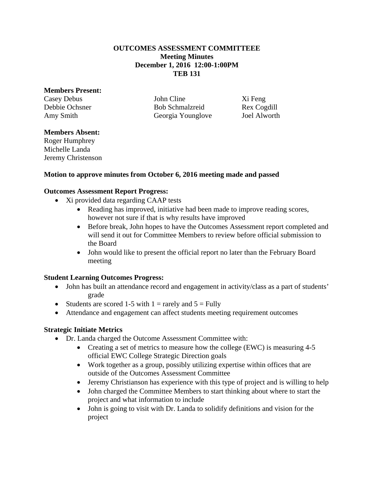### **OUTCOMES ASSESSMENT COMMITTEEE Meeting Minutes December 1, 2016 12:00-1:00PM TEB 131**

#### **Members Present:**

Casey Debus John Cline Xi Feng Debbie Ochsner Bob Schmalzreid Rex Cogdill Amy Smith Georgia Younglove Joel Alworth

### **Members Absent:**

Roger Humphrey Michelle Landa Jeremy Christenson

#### **Motion to approve minutes from October 6, 2016 meeting made and passed**

#### **Outcomes Assessment Report Progress:**

- Xi provided data regarding CAAP tests
	- Reading has improved, initiative had been made to improve reading scores, however not sure if that is why results have improved
	- Before break, John hopes to have the Outcomes Assessment report completed and will send it out for Committee Members to review before official submission to the Board
	- John would like to present the official report no later than the February Board meeting

## **Student Learning Outcomes Progress:**

- John has built an attendance record and engagement in activity/class as a part of students' grade
- Students are scored 1-5 with 1 = rarely and  $5 =$  Fully
- Attendance and engagement can affect students meeting requirement outcomes

## **Strategic Initiate Metrics**

- Dr. Landa charged the Outcome Assessment Committee with:
	- Creating a set of metrics to measure how the college (EWC) is measuring 4-5 official EWC College Strategic Direction goals
	- Work together as a group, possibly utilizing expertise within offices that are outside of the Outcomes Assessment Committee
	- Jeremy Christianson has experience with this type of project and is willing to help
	- John charged the Committee Members to start thinking about where to start the project and what information to include
	- John is going to visit with Dr. Landa to solidify definitions and vision for the project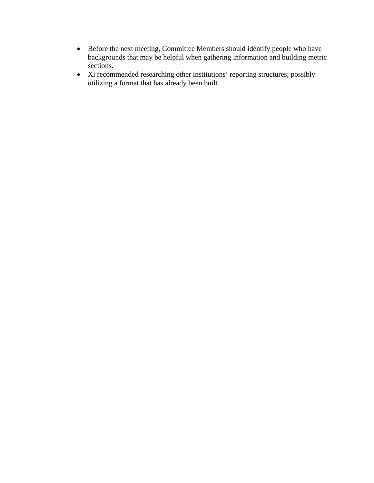- Before the next meeting, Committee Members should identify people who have backgrounds that may be helpful when gathering information and building metric sections.
- Xi recommended researching other institutions' reporting structures; possibly utilizing a format that has already been built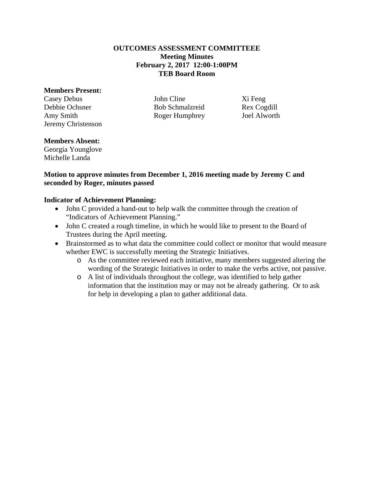### **OUTCOMES ASSESSMENT COMMITTEEE Meeting Minutes February 2, 2017 12:00-1:00PM TEB Board Room**

#### **Members Present:**

Casey Debus John Cline Xi Feng Debbie Ochsner Bob Schmalzreid Rex Cogdill Amy Smith Roger Humphrey Joel Alworth Jeremy Christenson

# **Members Absent:**

Georgia Younglove Michelle Landa

## **Motion to approve minutes from December 1, 2016 meeting made by Jeremy C and seconded by Roger, minutes passed**

## **Indicator of Achievement Planning:**

- John C provided a hand-out to help walk the committee through the creation of "Indicators of Achievement Planning."
- John C created a rough timeline, in which he would like to present to the Board of Trustees during the April meeting.
- Brainstormed as to what data the committee could collect or monitor that would measure whether EWC is successfully meeting the Strategic Initiatives.
	- o As the committee reviewed each initiative, many members suggested altering the wording of the Strategic Initiatives in order to make the verbs active, not passive.
	- o A list of individuals throughout the college, was identified to help gather information that the institution may or may not be already gathering. Or to ask for help in developing a plan to gather additional data.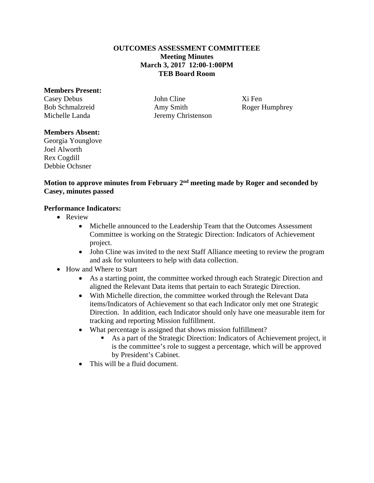### **OUTCOMES ASSESSMENT COMMITTEEE Meeting Minutes March 3, 2017 12:00-1:00PM TEB Board Room**

#### **Members Present:**

Casey Debus **Iohn Cline** Xi Fen Bob Schmalzreid Amy Smith Roger Humphrey Michelle Landa Jeremy Christenson

## **Members Absent:**

Georgia Younglove Joel Alworth Rex Cogdill Debbie Ochsner

## **Motion to approve minutes from February 2nd meeting made by Roger and seconded by Casey, minutes passed**

## **Performance Indicators:**

- Review
	- Michelle announced to the Leadership Team that the Outcomes Assessment Committee is working on the Strategic Direction: Indicators of Achievement project.
	- John Cline was invited to the next Staff Alliance meeting to review the program and ask for volunteers to help with data collection.
- How and Where to Start
	- As a starting point, the committee worked through each Strategic Direction and aligned the Relevant Data items that pertain to each Strategic Direction.
	- With Michelle direction, the committee worked through the Relevant Data items/Indicators of Achievement so that each Indicator only met one Strategic Direction. In addition, each Indicator should only have one measurable item for tracking and reporting Mission fulfillment.
	- What percentage is assigned that shows mission fulfillment?
		- As a part of the Strategic Direction: Indicators of Achievement project, it is the committee's role to suggest a percentage, which will be approved by President's Cabinet.
	- This will be a fluid document.